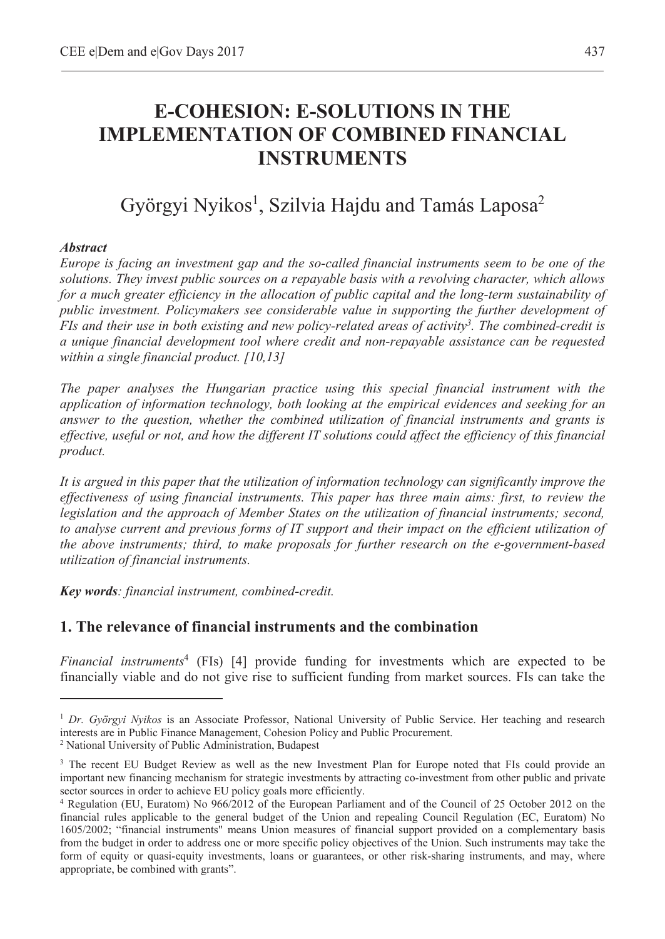# **E-COHESION: E-SOLUTIONS IN THE IMPLEMENTATION OF COMBINED FINANCIAL INSTRUMENTS**

# Györgyi Nyikos<sup>1</sup>, Szilvia Hajdu and Tamás Laposa<sup>2</sup>

#### *Abstract*

 $\overline{a}$ 

*Europe is facing an investment gap and the so-called financial instruments seem to be one of the solutions. They invest public sources on a repayable basis with a revolving character, which allows for a much greater efficiency in the allocation of public capital and the long-term sustainability of public investment. Policymakers see considerable value in supporting the further development of FIs and their use in both existing and new policy-related areas of activity3. The combined-credit is a unique financial development tool where credit and non-repayable assistance can be requested within a single financial product. [10,13]* 

*The paper analyses the Hungarian practice using this special financial instrument with the application of information technology, both looking at the empirical evidences and seeking for an answer to the question, whether the combined utilization of financial instruments and grants is effective, useful or not, and how the different IT solutions could affect the efficiency of this financial product.* 

*It is argued in this paper that the utilization of information technology can significantly improve the effectiveness of using financial instruments. This paper has three main aims: first, to review the legislation and the approach of Member States on the utilization of financial instruments; second, to analyse current and previous forms of IT support and their impact on the efficient utilization of the above instruments; third, to make proposals for further research on the e-government-based utilization of financial instruments.* 

*Key words: financial instrument, combined-credit.* 

## **1. The relevance of financial instruments and the combination**

*Financial instruments*<sup>4</sup> (FIs) [4] provide funding for investments which are expected to be financially viable and do not give rise to sufficient funding from market sources. FIs can take the

<sup>1</sup> *Dr. Györgyi Nyikos* is an Associate Professor, National University of Public Service. Her teaching and research interests are in Public Finance Management, Cohesion Policy and Public Procurement. 2

<sup>&</sup>lt;sup>2</sup> National University of Public Administration, Budapest

<sup>&</sup>lt;sup>3</sup> The recent EU Budget Review as well as the new Investment Plan for Europe noted that FIs could provide an important new financing mechanism for strategic investments by attracting co-investment from other public and private sector sources in order to achieve EU policy goals more efficiently.

<sup>4</sup> Regulation (EU, Euratom) No 966/2012 of the European Parliament and of the Council of 25 October 2012 on the financial rules applicable to the general budget of the Union and repealing Council Regulation (EC, Euratom) No 1605/2002; "financial instruments" means Union measures of financial support provided on a complementary basis from the budget in order to address one or more specific policy objectives of the Union. Such instruments may take the form of equity or quasi-equity investments, loans or guarantees, or other risk-sharing instruments, and may, where appropriate, be combined with grants".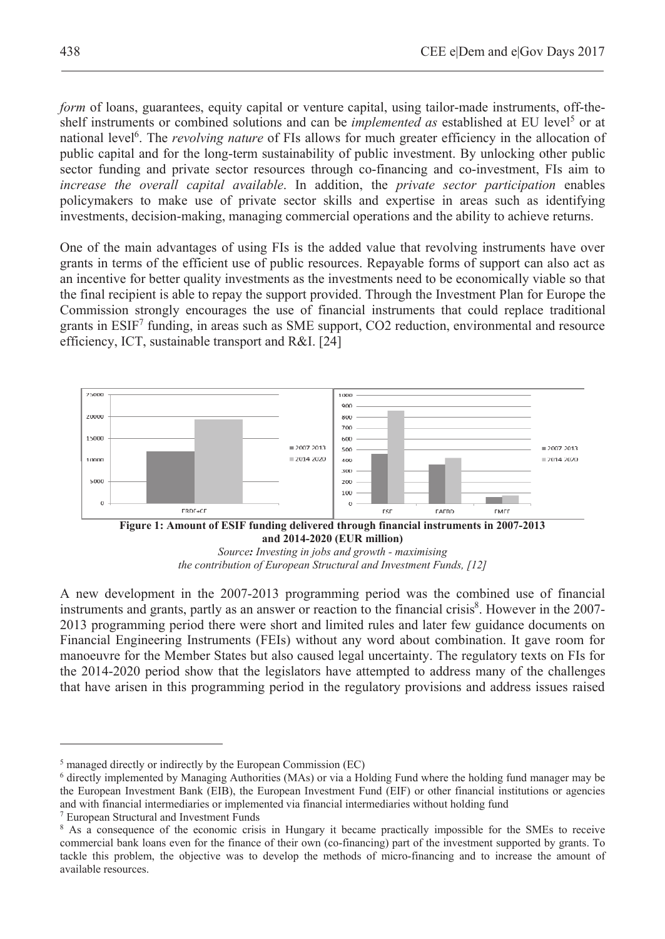*form* of loans, guarantees, equity capital or venture capital, using tailor-made instruments, off-theshelf instruments or combined solutions and can be *implemented as* established at EU level<sup>5</sup> or at national level<sup>6</sup>. The *revolving nature* of FIs allows for much greater efficiency in the allocation of public capital and for the long-term sustainability of public investment. By unlocking other public sector funding and private sector resources through co-financing and co-investment, FIs aim to *increase the overall capital available*. In addition, the *private sector participation* enables policymakers to make use of private sector skills and expertise in areas such as identifying investments, decision-making, managing commercial operations and the ability to achieve returns.

One of the main advantages of using FIs is the added value that revolving instruments have over grants in terms of the efficient use of public resources. Repayable forms of support can also act as an incentive for better quality investments as the investments need to be economically viable so that the final recipient is able to repay the support provided. Through the Investment Plan for Europe the Commission strongly encourages the use of financial instruments that could replace traditional grants in ESIF<sup>7</sup> funding, in areas such as SME support, CO2 reduction, environmental and resource efficiency, ICT, sustainable transport and R&I. [24]



A new development in the 2007-2013 programming period was the combined use of financial instruments and grants, partly as an answer or reaction to the financial crisis<sup>8</sup>. However in the 2007-2013 programming period there were short and limited rules and later few guidance documents on Financial Engineering Instruments (FEIs) without any word about combination. It gave room for manoeuvre for the Member States but also caused legal uncertainty. The regulatory texts on FIs for the 2014-2020 period show that the legislators have attempted to address many of the challenges that have arisen in this programming period in the regulatory provisions and address issues raised

<sup>&</sup>lt;sup>5</sup> managed directly or indirectly by the European Commission (EC)

<sup>&</sup>lt;sup>6</sup> directly implemented by Managing Authorities (MAs) or via a Holding Fund where the holding fund manager may be the European Investment Bank (EIB), the European Investment Fund (EIF) or other financial institutions or agencies and with financial intermediaries or implemented via financial intermediaries without holding fund 7

European Structural and Investment Funds

<sup>&</sup>lt;sup>8</sup> As a consequence of the economic crisis in Hungary it became practically impossible for the SMEs to receive commercial bank loans even for the finance of their own (co-financing) part of the investment supported by grants. To tackle this problem, the objective was to develop the methods of micro-financing and to increase the amount of available resources.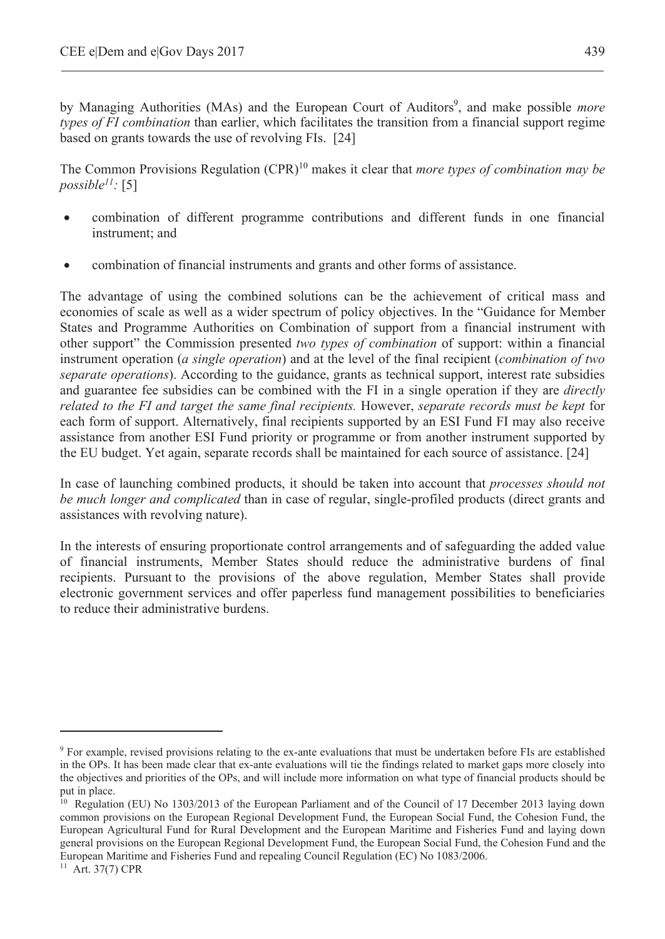by Managing Authorities (MAs) and the European Court of Auditors<sup>9</sup>, and make possible *more types of FI combination* than earlier, which facilitates the transition from a financial support regime based on grants towards the use of revolving FIs. [24]

The Common Provisions Regulation (CPR)10 makes it clear that *more types of combination may be possible11:* [5]

- x combination of different programme contributions and different funds in one financial instrument; and
- combination of financial instruments and grants and other forms of assistance.

The advantage of using the combined solutions can be the achievement of critical mass and economies of scale as well as a wider spectrum of policy objectives. In the "Guidance for Member States and Programme Authorities on Combination of support from a financial instrument with other support" the Commission presented *two types of combination* of support: within a financial instrument operation (*a single operation*) and at the level of the final recipient (*combination of two separate operations*). According to the guidance, grants as technical support, interest rate subsidies and guarantee fee subsidies can be combined with the FI in a single operation if they are *directly related to the FI and target the same final recipients.* However, *separate records must be kept* for each form of support. Alternatively, final recipients supported by an ESI Fund FI may also receive assistance from another ESI Fund priority or programme or from another instrument supported by the EU budget. Yet again, separate records shall be maintained for each source of assistance. [24]

In case of launching combined products, it should be taken into account that *processes should not be much longer and complicated* than in case of regular, single-profiled products (direct grants and assistances with revolving nature).

In the interests of ensuring proportionate control arrangements and of safeguarding the added value of financial instruments, Member States should reduce the administrative burdens of final recipients. Pursuant to the provisions of the above regulation, Member States shall provide electronic government services and offer paperless fund management possibilities to beneficiaries to reduce their administrative burdens.

<sup>&</sup>lt;sup>9</sup> For example, revised provisions relating to the ex-ante evaluations that must be undertaken before FIs are established in the OPs. It has been made clear that ex-ante evaluations will tie the findings related to market gaps more closely into the objectives and priorities of the OPs, and will include more information on what type of financial products should be put in place.

<sup>&</sup>lt;sup>10</sup> Regulation (EU) No 1303/2013 of the European Parliament and of the Council of 17 December 2013 laying down common provisions on the European Regional Development Fund, the European Social Fund, the Cohesion Fund, the European Agricultural Fund for Rural Development and the European Maritime and Fisheries Fund and laying down general provisions on the European Regional Development Fund, the European Social Fund, the Cohesion Fund and the European Maritime and Fisheries Fund and repealing Council Regulation (EC) No 1083/2006.

<sup>11</sup> Art. 37(7) CPR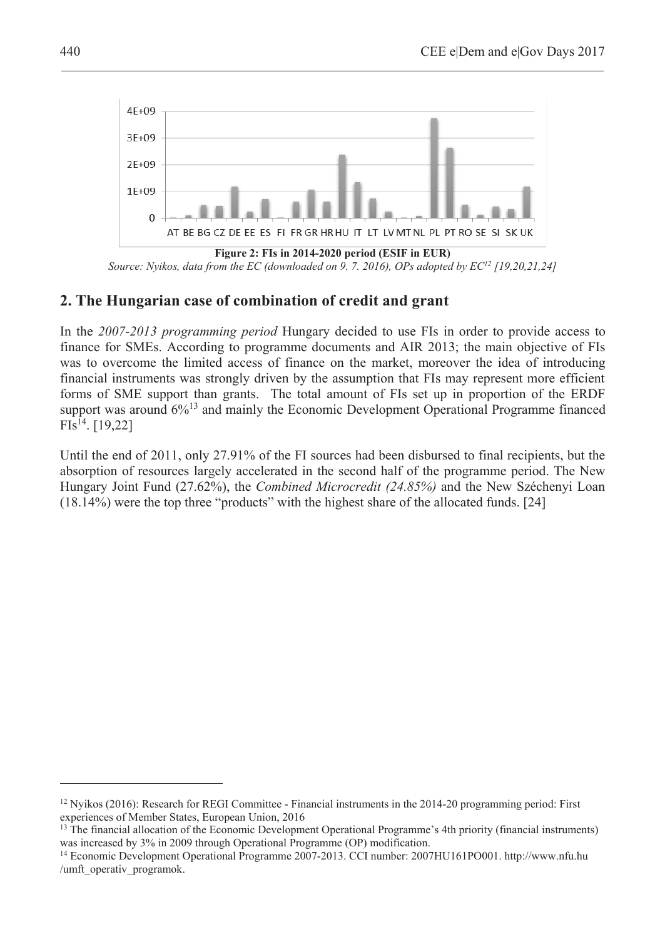

*Source: Nyikos, data from the EC (downloaded on 9. 7. 2016), OPs adopted by EC12 [19,20,21,24]* 

## **2. The Hungarian case of combination of credit and grant**

In the *2007-2013 programming period* Hungary decided to use FIs in order to provide access to finance for SMEs. According to programme documents and AIR 2013; the main objective of FIs was to overcome the limited access of finance on the market, moreover the idea of introducing financial instruments was strongly driven by the assumption that FIs may represent more efficient forms of SME support than grants. The total amount of FIs set up in proportion of the ERDF support was around 6%<sup>13</sup> and mainly the Economic Development Operational Programme financed  $FIs^{14}$ . [19,22]

Until the end of 2011, only 27.91% of the FI sources had been disbursed to final recipients, but the absorption of resources largely accelerated in the second half of the programme period. The New Hungary Joint Fund (27.62%), the *Combined Microcredit (24.85%)* and the New Széchenyi Loan (18.14%) were the top three "products" with the highest share of the allocated funds. [24]

<sup>12</sup> Nyikos (2016): Research for REGI Committee - Financial instruments in the 2014-20 programming period: First experiences of Member States, European Union, 2016

<sup>&</sup>lt;sup>13</sup> The financial allocation of the Economic Development Operational Programme's 4th priority (financial instruments) was increased by 3% in 2009 through Operational Programme (OP) modification.<br><sup>14</sup> Economic Development Operational Programme 2007-2013. CCI number: 2007HU161PO001. http://www.nfu.hu

<sup>/</sup>umft\_operativ\_programok.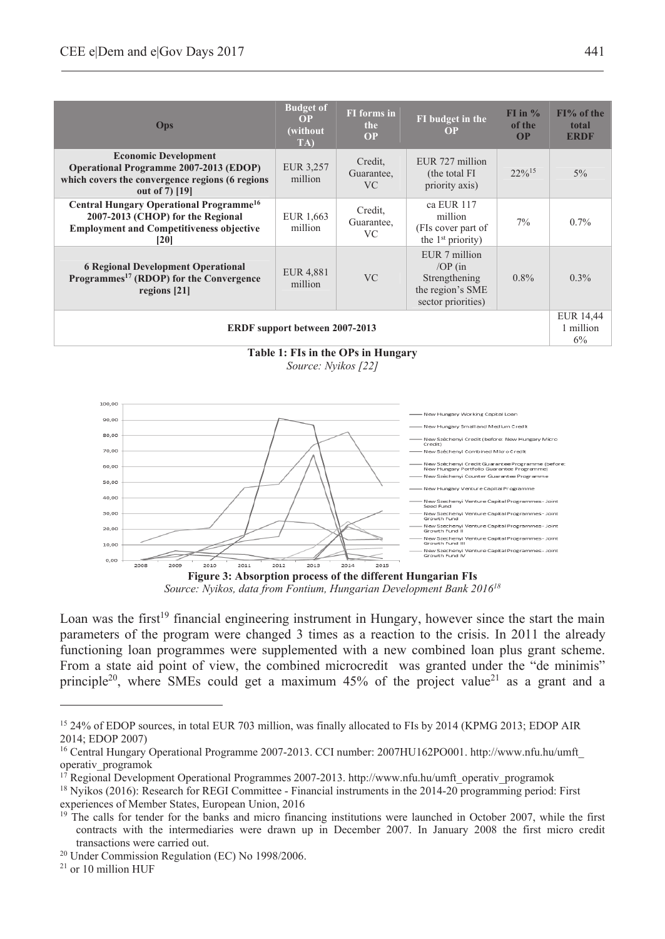| <b>Ops</b>                                                                                                                                          | <b>Budget of</b><br><b>FI</b> forms in<br>OP<br>the<br>(without)<br>OP<br>TA) |                              | FI budget in the<br><b>OP</b>                                                        | $FI$ in $\%$<br>of the<br>OP | $FI%$ of the<br>total<br><b>ERDF</b> |  |  |  |
|-----------------------------------------------------------------------------------------------------------------------------------------------------|-------------------------------------------------------------------------------|------------------------------|--------------------------------------------------------------------------------------|------------------------------|--------------------------------------|--|--|--|
| <b>Economic Development</b><br><b>Operational Programme 2007-2013 (EDOP)</b><br>which covers the convergence regions (6 regions<br>out of 7) [19]   | EUR 3,257<br>million                                                          | Credit,<br>Guarantee,<br>VC. | EUR 727 million<br>(the total FI)<br>priority axis)                                  | $22\%$ <sup>15</sup>         | 5%                                   |  |  |  |
| Central Hungary Operational Programme <sup>16</sup><br>2007-2013 (CHOP) for the Regional<br><b>Employment and Competitiveness objective</b><br>[20] | EUR 1,663<br>million                                                          | Credit,<br>Guarantee,<br>VC. | ca EUR 117<br>million<br>(FIs cover part of<br>the 1 <sup>st</sup> priority)         | 7%                           | $0.7\%$                              |  |  |  |
| <b>6 Regional Development Operational</b><br>Programmes <sup>17</sup> (RDOP) for the Convergence<br>regions $[21]$                                  | EUR 4,881<br>million                                                          | V <sub>C</sub>               | EUR 7 million<br>$OP$ (in<br>Strengthening<br>the region's SME<br>sector priorities) | $0.8\%$                      | $0.3\%$                              |  |  |  |
| <b>ERDF</b> support between 2007-2013                                                                                                               |                                                                               |                              |                                                                                      |                              |                                      |  |  |  |

**Table 1: FIs in the OPs in Hungary**  *Source: Nyikos [22]* 



*Source: Nyikos, data from Fontium, Hungarian Development Bank 201618*

Loan was the first<sup>19</sup> financial engineering instrument in Hungary, however since the start the main parameters of the program were changed 3 times as a reaction to the crisis. In 2011 the already functioning loan programmes were supplemented with a new combined loan plus grant scheme. From a state aid point of view, the combined microcredit was granted under the "de minimis" principle<sup>20</sup>, where SMEs could get a maximum 45% of the project value<sup>21</sup> as a grant and a

<sup>15 24%</sup> of EDOP sources, in total EUR 703 million, was finally allocated to FIs by 2014 (KPMG 2013; EDOP AIR 2014; EDOP 2007)

<sup>16</sup> Central Hungary Operational Programme 2007-2013. CCI number: 2007HU162PO001. http://www.nfu.hu/umft\_ operativ\_programok

<sup>17</sup> Regional Development Operational Programmes 2007-2013. http://www.nfu.hu/umft\_operativ\_programok

<sup>18</sup> Nyikos (2016): Research for REGI Committee - Financial instruments in the 2014-20 programming period: First experiences of Member States, European Union, 2016

<sup>&</sup>lt;sup>19</sup> The calls for tender for the banks and micro financing institutions were launched in October 2007, while the first contracts with the intermediaries were drawn up in December 2007. In January 2008 the first micro credit transactions were carried out. 20 Under Commission Regulation (EC) No 1998/2006.

<sup>21</sup> or 10 million HUF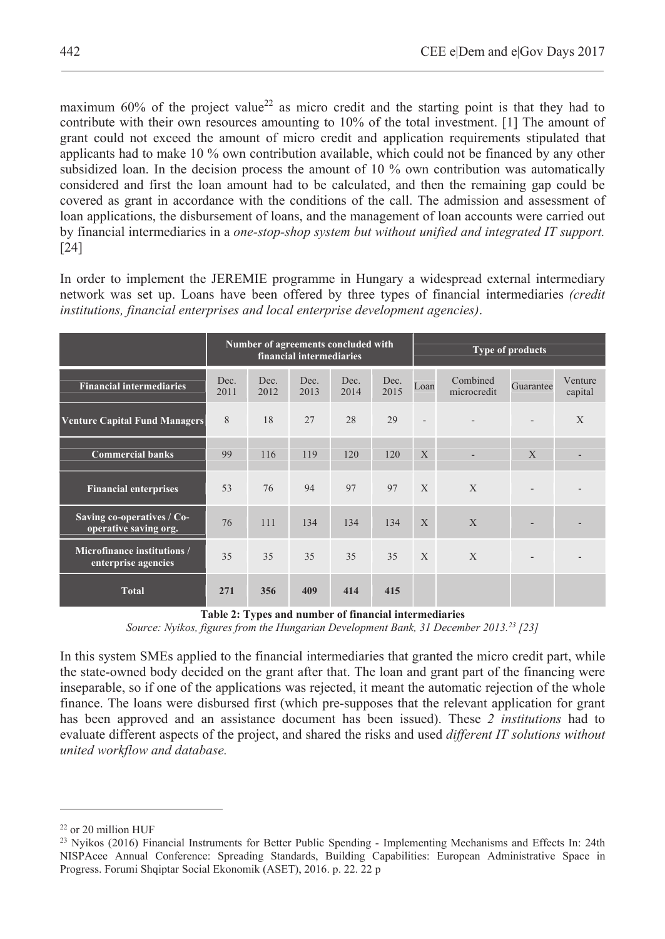maximum 60% of the project value<sup>22</sup> as micro credit and the starting point is that they had to contribute with their own resources amounting to 10% of the total investment. [1] The amount of grant could not exceed the amount of micro credit and application requirements stipulated that applicants had to make 10 % own contribution available, which could not be financed by any other subsidized loan. In the decision process the amount of 10 % own contribution was automatically considered and first the loan amount had to be calculated, and then the remaining gap could be covered as grant in accordance with the conditions of the call. The admission and assessment of loan applications, the disbursement of loans, and the management of loan accounts were carried out by financial intermediaries in a *one-stop-shop system but without unified and integrated IT support.*  [24]

In order to implement the JEREMIE programme in Hungary a widespread external intermediary network was set up. Loans have been offered by three types of financial intermediaries *(credit institutions, financial enterprises and local enterprise development agencies)*.

|                                                     | Number of agreements concluded with<br>financial intermediaries |              |              |              |              | <b>Type of products</b> |                          |              |                    |
|-----------------------------------------------------|-----------------------------------------------------------------|--------------|--------------|--------------|--------------|-------------------------|--------------------------|--------------|--------------------|
| <b>Financial intermediaries</b>                     | Dec.<br>2011                                                    | Dec.<br>2012 | Dec.<br>2013 | Dec.<br>2014 | Dec.<br>2015 | Loan                    | Combined<br>microcredit  | Guarantee    | Venture<br>capital |
| <b>Venture Capital Fund Managers</b>                | 8                                                               | 18           | 27           | 28           | 29           |                         |                          |              | X                  |
| <b>Commercial banks</b>                             | 99                                                              | 116          | 119          | 120          | 120          | $\mathbf{X}$            | $\overline{\phantom{a}}$ | $\mathbf{X}$ |                    |
| <b>Financial enterprises</b>                        | 53                                                              | 76           | 94           | 97           | 97           | $\mathbf{X}$            | X                        |              |                    |
| Saving co-operatives / Co-<br>operative saving org. | 76                                                              | 111          | 134          | 134          | 134          | $\mathbf{X}$            | X                        |              |                    |
| Microfinance institutions /<br>enterprise agencies  | 35                                                              | 35           | 35           | 35           | 35           | $\mathbf{X}$            | X                        |              |                    |
| <b>Total</b>                                        | 271                                                             | 356          | 409          | 414          | 415          |                         |                          |              |                    |

**Table 2: Types and number of financial intermediaries** 

*Source: Nyikos, figures from the Hungarian Development Bank, 31 December 2013.23 [23]* 

In this system SMEs applied to the financial intermediaries that granted the micro credit part, while the state-owned body decided on the grant after that. The loan and grant part of the financing were inseparable, so if one of the applications was rejected, it meant the automatic rejection of the whole finance. The loans were disbursed first (which pre-supposes that the relevant application for grant has been approved and an assistance document has been issued). These *2 institutions* had to evaluate different aspects of the project, and shared the risks and used *different IT solutions without united workflow and database.* 

<sup>22</sup> or 20 million HUF

<sup>&</sup>lt;sup>23</sup> Nyikos (2016) Financial Instruments for Better Public Spending - Implementing Mechanisms and Effects In: 24th NISPAcee Annual Conference: Spreading Standards, Building Capabilities: European Administrative Space in Progress. Forumi Shqiptar Social Ekonomik (ASET), 2016. p. 22. 22 p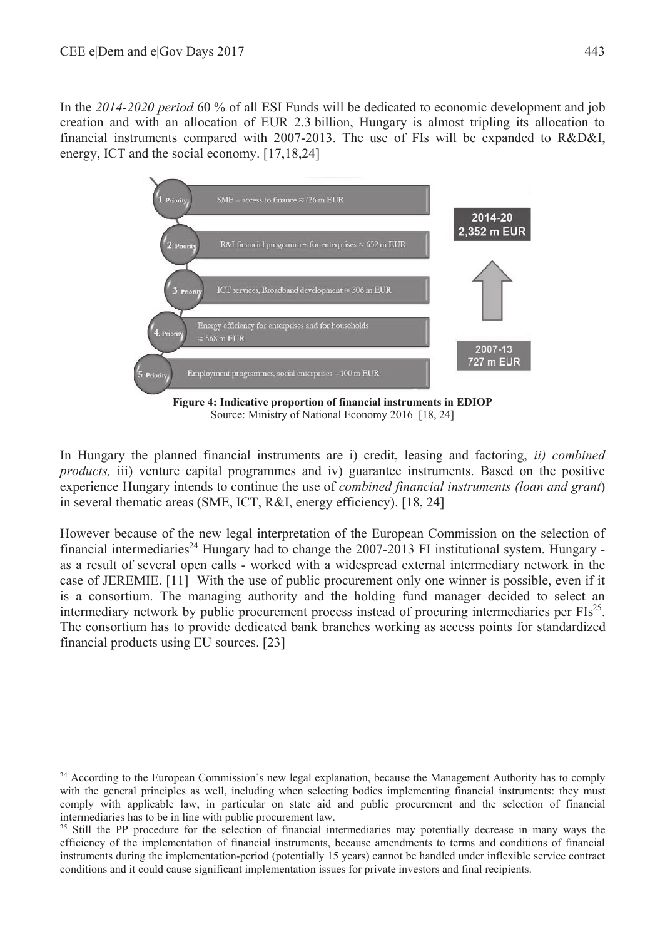$\overline{a}$ 

In the *2014-2020 period* 60 % of all ESI Funds will be dedicated to economic development and job creation and with an allocation of EUR 2.3 billion, Hungary is almost tripling its allocation to financial instruments compared with 2007-2013. The use of FIs will be expanded to R&D&I, energy, ICT and the social economy. [17,18,24]



In Hungary the planned financial instruments are i) credit, leasing and factoring, *ii) combined products,* iii) venture capital programmes and iv) guarantee instruments. Based on the positive experience Hungary intends to continue the use of *combined financial instruments (loan and grant*) in several thematic areas (SME, ICT, R&I, energy efficiency). [18, 24]

However because of the new legal interpretation of the European Commission on the selection of financial intermediaries<sup>24</sup> Hungary had to change the 2007-2013 FI institutional system. Hungary as a result of several open calls - worked with a widespread external intermediary network in the case of JEREMIE. [11] With the use of public procurement only one winner is possible, even if it is a consortium. The managing authority and the holding fund manager decided to select an intermediary network by public procurement process instead of procuring intermediaries per  $FIs^{25}$ . The consortium has to provide dedicated bank branches working as access points for standardized financial products using EU sources. [23]

<sup>&</sup>lt;sup>24</sup> According to the European Commission's new legal explanation, because the Management Authority has to comply with the general principles as well, including when selecting bodies implementing financial instruments: they must comply with applicable law, in particular on state aid and public procurement and the selection of financial intermediaries has to be in line with public procurement law.

<sup>&</sup>lt;sup>25</sup> Still the PP procedure for the selection of financial intermediaries may potentially decrease in many ways the efficiency of the implementation of financial instruments, because amendments to terms and conditions of financial instruments during the implementation-period (potentially 15 years) cannot be handled under inflexible service contract conditions and it could cause significant implementation issues for private investors and final recipients.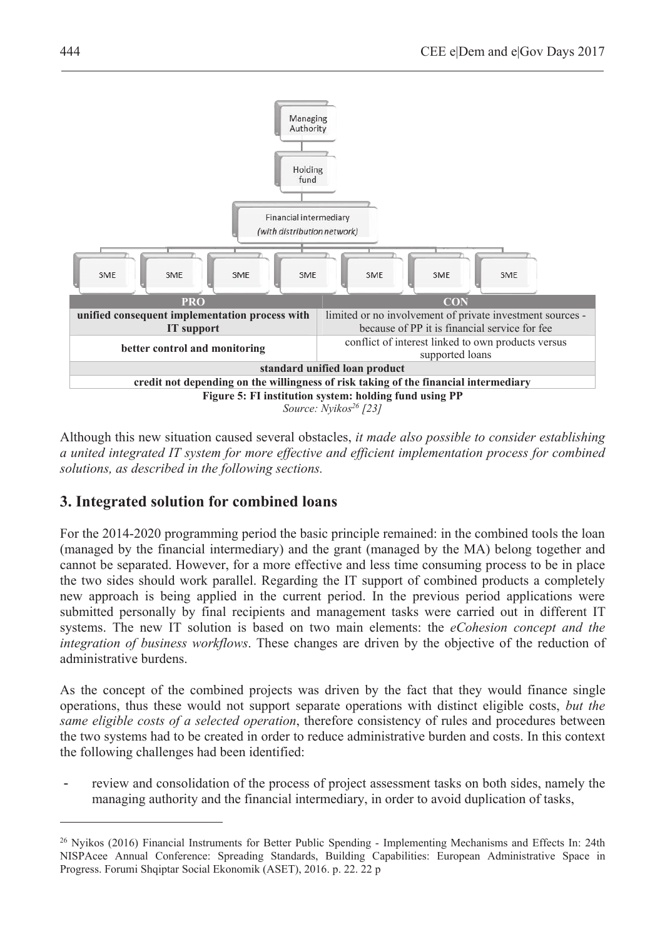

Although this new situation caused several obstacles, *it made also possible to consider establishing a united integrated IT system for more effective and efficient implementation process for combined solutions, as described in the following sections.* 

## **3. Integrated solution for combined loans**

For the 2014-2020 programming period the basic principle remained: in the combined tools the loan (managed by the financial intermediary) and the grant (managed by the MA) belong together and cannot be separated. However, for a more effective and less time consuming process to be in place the two sides should work parallel. Regarding the IT support of combined products a completely new approach is being applied in the current period. In the previous period applications were submitted personally by final recipients and management tasks were carried out in different IT systems. The new IT solution is based on two main elements: the *eCohesion concept and the integration of business workflows*. These changes are driven by the objective of the reduction of administrative burdens.

As the concept of the combined projects was driven by the fact that they would finance single operations, thus these would not support separate operations with distinct eligible costs, *but the same eligible costs of a selected operation*, therefore consistency of rules and procedures between the two systems had to be created in order to reduce administrative burden and costs. In this context the following challenges had been identified:

review and consolidation of the process of project assessment tasks on both sides, namely the managing authority and the financial intermediary, in order to avoid duplication of tasks,

<sup>&</sup>lt;sup>26</sup> Nyikos (2016) Financial Instruments for Better Public Spending - Implementing Mechanisms and Effects In: 24th NISPAcee Annual Conference: Spreading Standards, Building Capabilities: European Administrative Space in Progress. Forumi Shqiptar Social Ekonomik (ASET), 2016. p. 22. 22 p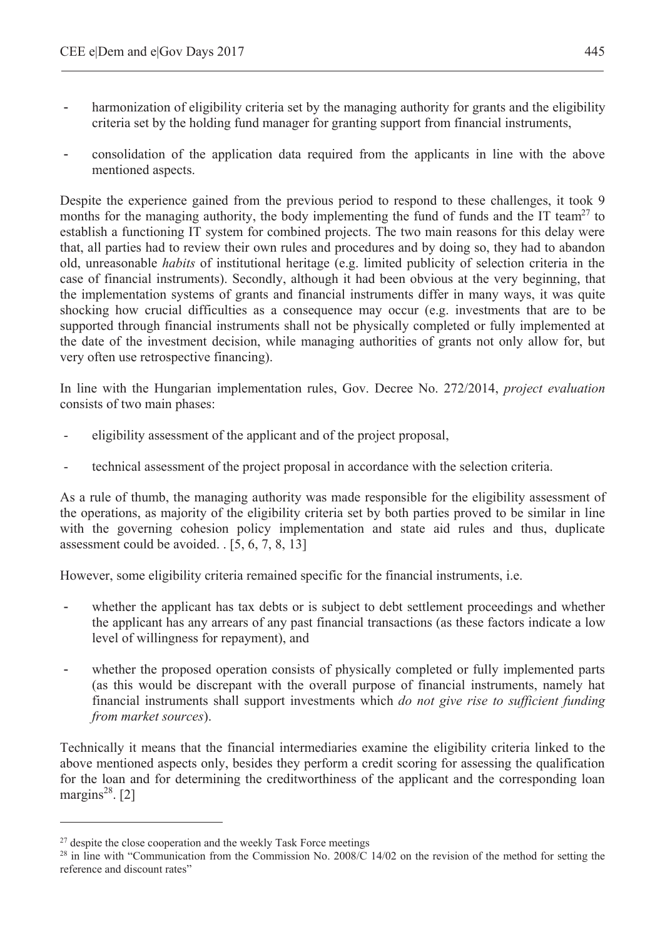- harmonization of eligibility criteria set by the managing authority for grants and the eligibility criteria set by the holding fund manager for granting support from financial instruments,
- consolidation of the application data required from the applicants in line with the above mentioned aspects.

Despite the experience gained from the previous period to respond to these challenges, it took 9 months for the managing authority, the body implementing the fund of funds and the IT team<sup>27</sup> to establish a functioning IT system for combined projects. The two main reasons for this delay were that, all parties had to review their own rules and procedures and by doing so, they had to abandon old, unreasonable *habits* of institutional heritage (e.g. limited publicity of selection criteria in the case of financial instruments). Secondly, although it had been obvious at the very beginning, that the implementation systems of grants and financial instruments differ in many ways, it was quite shocking how crucial difficulties as a consequence may occur (e.g. investments that are to be supported through financial instruments shall not be physically completed or fully implemented at the date of the investment decision, while managing authorities of grants not only allow for, but very often use retrospective financing).

In line with the Hungarian implementation rules, Gov. Decree No. 272/2014, *project evaluation* consists of two main phases:

- eligibility assessment of the applicant and of the project proposal,
- technical assessment of the project proposal in accordance with the selection criteria.

As a rule of thumb, the managing authority was made responsible for the eligibility assessment of the operations, as majority of the eligibility criteria set by both parties proved to be similar in line with the governing cohesion policy implementation and state aid rules and thus, duplicate assessment could be avoided. . [5, 6, 7, 8, 13]

However, some eligibility criteria remained specific for the financial instruments, i.e.

- whether the applicant has tax debts or is subject to debt settlement proceedings and whether the applicant has any arrears of any past financial transactions (as these factors indicate a low level of willingness for repayment), and
- whether the proposed operation consists of physically completed or fully implemented parts (as this would be discrepant with the overall purpose of financial instruments, namely hat financial instruments shall support investments which *do not give rise to sufficient funding from market sources*).

Technically it means that the financial intermediaries examine the eligibility criteria linked to the above mentioned aspects only, besides they perform a credit scoring for assessing the qualification for the loan and for determining the creditworthiness of the applicant and the corresponding loan margins<sup>28</sup>. [2]

<sup>&</sup>lt;sup>27</sup> despite the close cooperation and the weekly Task Force meetings

 $^{28}$  in line with "Communication from the Commission No. 2008/C 14/02 on the revision of the method for setting the reference and discount rates"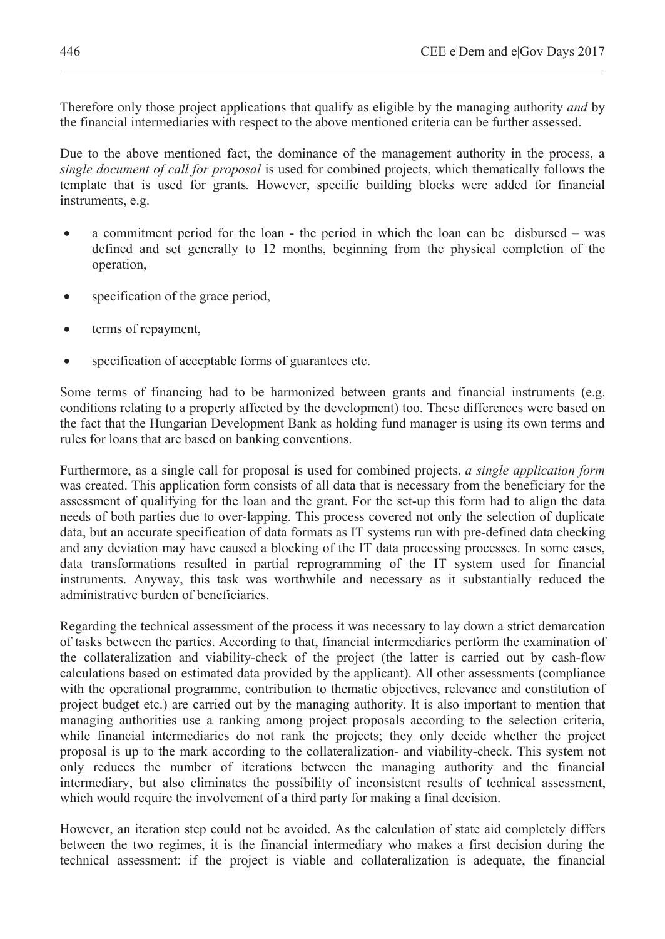Therefore only those project applications that qualify as eligible by the managing authority *and* by the financial intermediaries with respect to the above mentioned criteria can be further assessed.

Due to the above mentioned fact, the dominance of the management authority in the process, a *single document of call for proposal* is used for combined projects, which thematically follows the template that is used for grants*.* However, specific building blocks were added for financial instruments, e.g.

- a commitment period for the loan the period in which the loan can be disbursed was defined and set generally to 12 months, beginning from the physical completion of the operation,
- specification of the grace period,
- terms of repayment,
- specification of acceptable forms of guarantees etc.

Some terms of financing had to be harmonized between grants and financial instruments (e.g. conditions relating to a property affected by the development) too. These differences were based on the fact that the Hungarian Development Bank as holding fund manager is using its own terms and rules for loans that are based on banking conventions.

Furthermore, as a single call for proposal is used for combined projects, *a single application form* was created. This application form consists of all data that is necessary from the beneficiary for the assessment of qualifying for the loan and the grant. For the set-up this form had to align the data needs of both parties due to over-lapping. This process covered not only the selection of duplicate data, but an accurate specification of data formats as IT systems run with pre-defined data checking and any deviation may have caused a blocking of the IT data processing processes. In some cases, data transformations resulted in partial reprogramming of the IT system used for financial instruments. Anyway, this task was worthwhile and necessary as it substantially reduced the administrative burden of beneficiaries.

Regarding the technical assessment of the process it was necessary to lay down a strict demarcation of tasks between the parties. According to that, financial intermediaries perform the examination of the collateralization and viability-check of the project (the latter is carried out by cash-flow calculations based on estimated data provided by the applicant). All other assessments (compliance with the operational programme, contribution to thematic objectives, relevance and constitution of project budget etc.) are carried out by the managing authority. It is also important to mention that managing authorities use a ranking among project proposals according to the selection criteria, while financial intermediaries do not rank the projects; they only decide whether the project proposal is up to the mark according to the collateralization- and viability-check. This system not only reduces the number of iterations between the managing authority and the financial intermediary, but also eliminates the possibility of inconsistent results of technical assessment, which would require the involvement of a third party for making a final decision.

However, an iteration step could not be avoided. As the calculation of state aid completely differs between the two regimes, it is the financial intermediary who makes a first decision during the technical assessment: if the project is viable and collateralization is adequate, the financial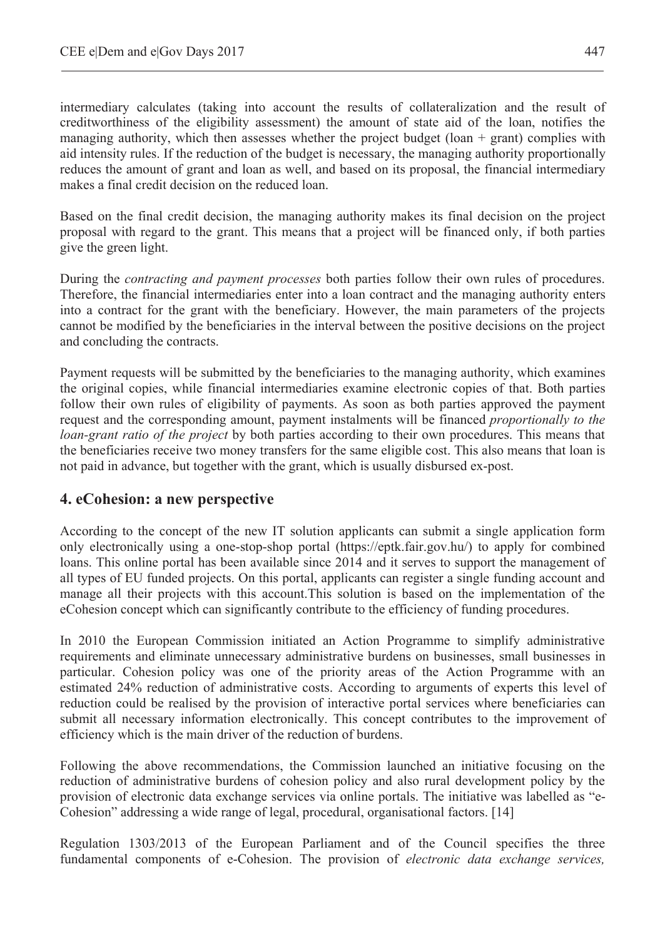intermediary calculates (taking into account the results of collateralization and the result of creditworthiness of the eligibility assessment) the amount of state aid of the loan, notifies the managing authority, which then assesses whether the project budget (loan  $+$  grant) complies with aid intensity rules. If the reduction of the budget is necessary, the managing authority proportionally reduces the amount of grant and loan as well, and based on its proposal, the financial intermediary makes a final credit decision on the reduced loan.

Based on the final credit decision, the managing authority makes its final decision on the project proposal with regard to the grant. This means that a project will be financed only, if both parties give the green light.

During the *contracting and payment processes* both parties follow their own rules of procedures. Therefore, the financial intermediaries enter into a loan contract and the managing authority enters into a contract for the grant with the beneficiary. However, the main parameters of the projects cannot be modified by the beneficiaries in the interval between the positive decisions on the project and concluding the contracts.

Payment requests will be submitted by the beneficiaries to the managing authority, which examines the original copies, while financial intermediaries examine electronic copies of that. Both parties follow their own rules of eligibility of payments. As soon as both parties approved the payment request and the corresponding amount, payment instalments will be financed *proportionally to the loan-grant ratio of the project* by both parties according to their own procedures. This means that the beneficiaries receive two money transfers for the same eligible cost. This also means that loan is not paid in advance, but together with the grant, which is usually disbursed ex-post.

### **4. eCohesion: a new perspective**

According to the concept of the new IT solution applicants can submit a single application form only electronically using a one-stop-shop portal (https://eptk.fair.gov.hu/) to apply for combined loans. This online portal has been available since 2014 and it serves to support the management of all types of EU funded projects. On this portal, applicants can register a single funding account and manage all their projects with this account.This solution is based on the implementation of the eCohesion concept which can significantly contribute to the efficiency of funding procedures.

In 2010 the European Commission initiated an Action Programme to simplify administrative requirements and eliminate unnecessary administrative burdens on businesses, small businesses in particular. Cohesion policy was one of the priority areas of the Action Programme with an estimated 24% reduction of administrative costs. According to arguments of experts this level of reduction could be realised by the provision of interactive portal services where beneficiaries can submit all necessary information electronically. This concept contributes to the improvement of efficiency which is the main driver of the reduction of burdens.

Following the above recommendations, the Commission launched an initiative focusing on the reduction of administrative burdens of cohesion policy and also rural development policy by the provision of electronic data exchange services via online portals. The initiative was labelled as "e-Cohesion" addressing a wide range of legal, procedural, organisational factors. [14]

Regulation 1303/2013 of the European Parliament and of the Council specifies the three fundamental components of e-Cohesion. The provision of *electronic data exchange services,*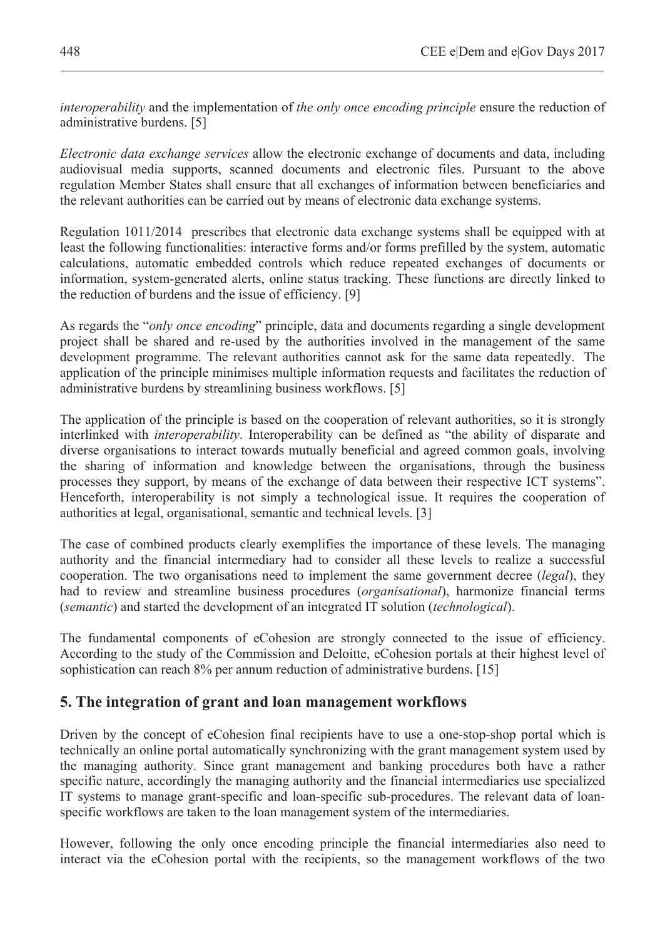*interoperability* and the implementation of *the only once encoding principle* ensure the reduction of administrative burdens. [5]

*Electronic data exchange services* allow the electronic exchange of documents and data, including audiovisual media supports, scanned documents and electronic files. Pursuant to the above regulation Member States shall ensure that all exchanges of information between beneficiaries and the relevant authorities can be carried out by means of electronic data exchange systems.

Regulation 1011/2014 prescribes that electronic data exchange systems shall be equipped with at least the following functionalities: interactive forms and/or forms prefilled by the system, automatic calculations, automatic embedded controls which reduce repeated exchanges of documents or information, system-generated alerts, online status tracking. These functions are directly linked to the reduction of burdens and the issue of efficiency. [9]

As regards the "*only once encoding*" principle, data and documents regarding a single development project shall be shared and re-used by the authorities involved in the management of the same development programme. The relevant authorities cannot ask for the same data repeatedly. The application of the principle minimises multiple information requests and facilitates the reduction of administrative burdens by streamlining business workflows. [5]

The application of the principle is based on the cooperation of relevant authorities, so it is strongly interlinked with *interoperability*. Interoperability can be defined as "the ability of disparate and diverse organisations to interact towards mutually beneficial and agreed common goals, involving the sharing of information and knowledge between the organisations, through the business processes they support, by means of the exchange of data between their respective ICT systems". Henceforth, interoperability is not simply a technological issue. It requires the cooperation of authorities at legal, organisational, semantic and technical levels. [3]

The case of combined products clearly exemplifies the importance of these levels. The managing authority and the financial intermediary had to consider all these levels to realize a successful cooperation. The two organisations need to implement the same government decree (*legal*), they had to review and streamline business procedures (*organisational*), harmonize financial terms (*semantic*) and started the development of an integrated IT solution (*technological*).

The fundamental components of eCohesion are strongly connected to the issue of efficiency. According to the study of the Commission and Deloitte, eCohesion portals at their highest level of sophistication can reach 8% per annum reduction of administrative burdens. [15]

#### **5. The integration of grant and loan management workflows**

Driven by the concept of eCohesion final recipients have to use a one-stop-shop portal which is technically an online portal automatically synchronizing with the grant management system used by the managing authority. Since grant management and banking procedures both have a rather specific nature, accordingly the managing authority and the financial intermediaries use specialized IT systems to manage grant-specific and loan-specific sub-procedures. The relevant data of loanspecific workflows are taken to the loan management system of the intermediaries.

However, following the only once encoding principle the financial intermediaries also need to interact via the eCohesion portal with the recipients, so the management workflows of the two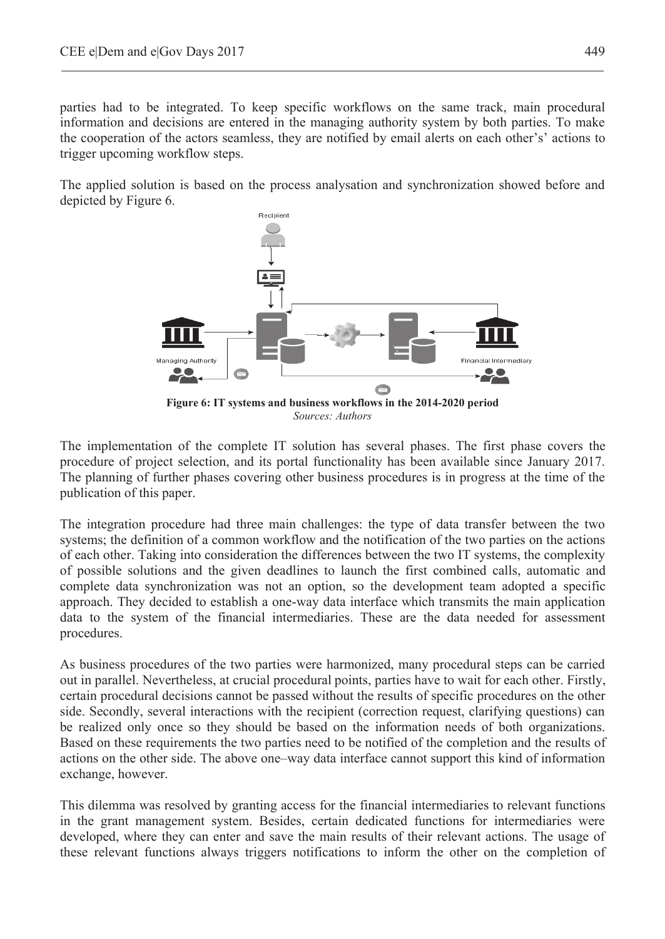parties had to be integrated. To keep specific workflows on the same track, main procedural information and decisions are entered in the managing authority system by both parties. To make the cooperation of the actors seamless, they are notified by email alerts on each other's' actions to trigger upcoming workflow steps.

The applied solution is based on the process analysation and synchronization showed before and depicted by Figure 6.



The implementation of the complete IT solution has several phases. The first phase covers the procedure of project selection, and its portal functionality has been available since January 2017. The planning of further phases covering other business procedures is in progress at the time of the publication of this paper.

The integration procedure had three main challenges: the type of data transfer between the two systems; the definition of a common workflow and the notification of the two parties on the actions of each other. Taking into consideration the differences between the two IT systems, the complexity of possible solutions and the given deadlines to launch the first combined calls, automatic and complete data synchronization was not an option, so the development team adopted a specific approach. They decided to establish a one-way data interface which transmits the main application data to the system of the financial intermediaries. These are the data needed for assessment procedures.

As business procedures of the two parties were harmonized, many procedural steps can be carried out in parallel. Nevertheless, at crucial procedural points, parties have to wait for each other. Firstly, certain procedural decisions cannot be passed without the results of specific procedures on the other side. Secondly, several interactions with the recipient (correction request, clarifying questions) can be realized only once so they should be based on the information needs of both organizations. Based on these requirements the two parties need to be notified of the completion and the results of actions on the other side. The above one–way data interface cannot support this kind of information exchange, however.

This dilemma was resolved by granting access for the financial intermediaries to relevant functions in the grant management system. Besides, certain dedicated functions for intermediaries were developed, where they can enter and save the main results of their relevant actions. The usage of these relevant functions always triggers notifications to inform the other on the completion of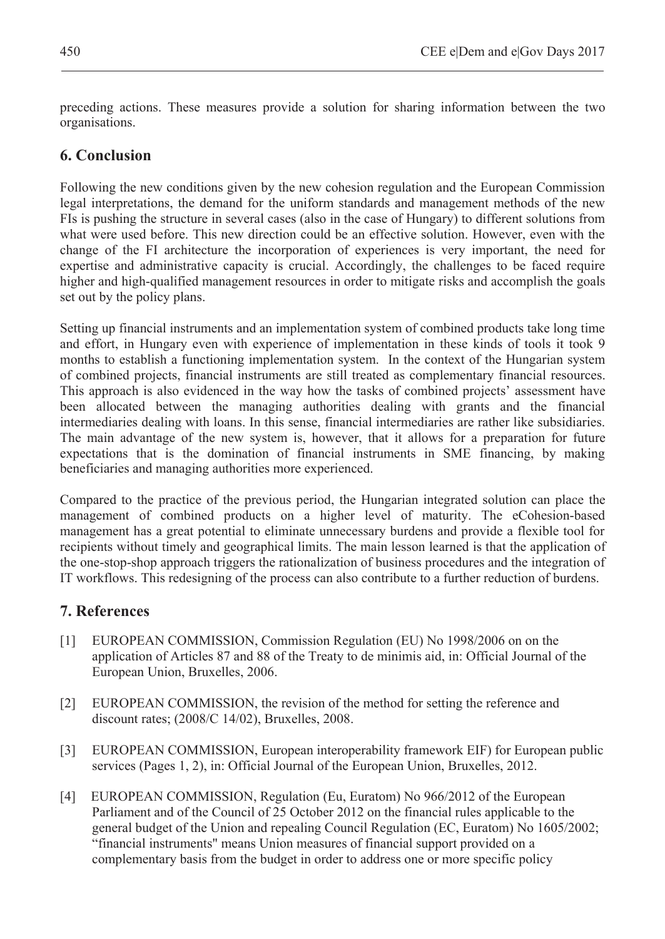preceding actions. These measures provide a solution for sharing information between the two organisations.

#### **6. Conclusion**

Following the new conditions given by the new cohesion regulation and the European Commission legal interpretations, the demand for the uniform standards and management methods of the new FIs is pushing the structure in several cases (also in the case of Hungary) to different solutions from what were used before. This new direction could be an effective solution. However, even with the change of the FI architecture the incorporation of experiences is very important, the need for expertise and administrative capacity is crucial. Accordingly, the challenges to be faced require higher and high-qualified management resources in order to mitigate risks and accomplish the goals set out by the policy plans.

Setting up financial instruments and an implementation system of combined products take long time and effort, in Hungary even with experience of implementation in these kinds of tools it took 9 months to establish a functioning implementation system. In the context of the Hungarian system of combined projects, financial instruments are still treated as complementary financial resources. This approach is also evidenced in the way how the tasks of combined projects' assessment have been allocated between the managing authorities dealing with grants and the financial intermediaries dealing with loans. In this sense, financial intermediaries are rather like subsidiaries. The main advantage of the new system is, however, that it allows for a preparation for future expectations that is the domination of financial instruments in SME financing, by making beneficiaries and managing authorities more experienced.

Compared to the practice of the previous period, the Hungarian integrated solution can place the management of combined products on a higher level of maturity. The eCohesion-based management has a great potential to eliminate unnecessary burdens and provide a flexible tool for recipients without timely and geographical limits. The main lesson learned is that the application of the one-stop-shop approach triggers the rationalization of business procedures and the integration of IT workflows. This redesigning of the process can also contribute to a further reduction of burdens.

### **7. References**

- [1] EUROPEAN COMMISSION, Commission Regulation (EU) No 1998/2006 on on the application of Articles 87 and 88 of the Treaty to de minimis aid, in: Official Journal of the European Union, Bruxelles, 2006.
- [2] EUROPEAN COMMISSION, the revision of the method for setting the reference and discount rates; (2008/C 14/02), Bruxelles, 2008.
- [3] EUROPEAN COMMISSION, European interoperability framework EIF) for European public services (Pages 1, 2), in: Official Journal of the European Union, Bruxelles, 2012.
- [4] EUROPEAN COMMISSION, Regulation (Eu, Euratom) No 966/2012 of the European Parliament and of the Council of 25 October 2012 on the financial rules applicable to the general budget of the Union and repealing Council Regulation (EC, Euratom) No 1605/2002; "financial instruments" means Union measures of financial support provided on a complementary basis from the budget in order to address one or more specific policy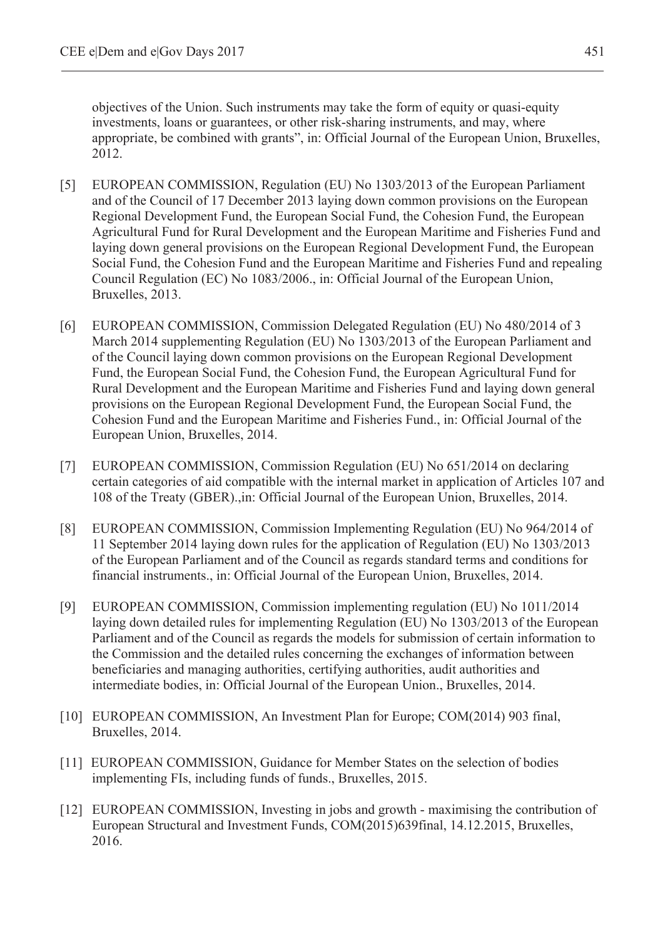objectives of the Union. Such instruments may take the form of equity or quasi-equity investments, loans or guarantees, or other risk-sharing instruments, and may, where appropriate, be combined with grants", in: Official Journal of the European Union, Bruxelles, 2012.

- [5] EUROPEAN COMMISSION, Regulation (EU) No 1303/2013 of the European Parliament and of the Council of 17 December 2013 laying down common provisions on the European Regional Development Fund, the European Social Fund, the Cohesion Fund, the European Agricultural Fund for Rural Development and the European Maritime and Fisheries Fund and laying down general provisions on the European Regional Development Fund, the European Social Fund, the Cohesion Fund and the European Maritime and Fisheries Fund and repealing Council Regulation (EC) No 1083/2006., in: Official Journal of the European Union, Bruxelles, 2013.
- [6] EUROPEAN COMMISSION, Commission Delegated Regulation (EU) No 480/2014 of 3 March 2014 supplementing Regulation (EU) No 1303/2013 of the European Parliament and of the Council laying down common provisions on the European Regional Development Fund, the European Social Fund, the Cohesion Fund, the European Agricultural Fund for Rural Development and the European Maritime and Fisheries Fund and laying down general provisions on the European Regional Development Fund, the European Social Fund, the Cohesion Fund and the European Maritime and Fisheries Fund., in: Official Journal of the European Union, Bruxelles, 2014.
- [7] EUROPEAN COMMISSION, Commission Regulation (EU) No 651/2014 on declaring certain categories of aid compatible with the internal market in application of Articles 107 and 108 of the Treaty (GBER).,in: Official Journal of the European Union, Bruxelles, 2014.
- [8] EUROPEAN COMMISSION, Commission Implementing Regulation (EU) No 964/2014 of 11 September 2014 laying down rules for the application of Regulation (EU) No 1303/2013 of the European Parliament and of the Council as regards standard terms and conditions for financial instruments., in: Official Journal of the European Union, Bruxelles, 2014.
- [9] EUROPEAN COMMISSION, Commission implementing regulation (EU) No 1011/2014 laying down detailed rules for implementing Regulation (EU) No 1303/2013 of the European Parliament and of the Council as regards the models for submission of certain information to the Commission and the detailed rules concerning the exchanges of information between beneficiaries and managing authorities, certifying authorities, audit authorities and intermediate bodies, in: Official Journal of the European Union., Bruxelles, 2014.
- [10] EUROPEAN COMMISSION, An Investment Plan for Europe; COM(2014) 903 final, Bruxelles, 2014.
- [11] EUROPEAN COMMISSION, Guidance for Member States on the selection of bodies implementing FIs, including funds of funds., Bruxelles, 2015.
- [12] EUROPEAN COMMISSION, Investing in jobs and growth maximising the contribution of European Structural and Investment Funds, COM(2015)639final, 14.12.2015, Bruxelles, 2016.